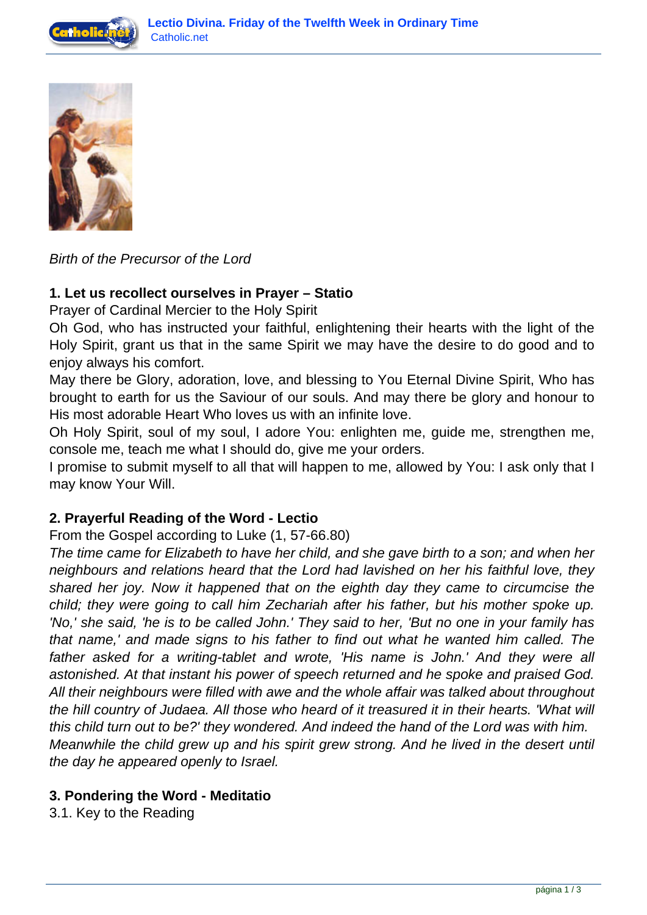



Birth of the Precursor of the Lord

### **1. Let us recollect ourselves in Prayer – Statio**

Prayer of Cardinal Mercier to the Holy Spirit

Oh God, who has instructed your faithful, enlightening their hearts with the light of the Holy Spirit, grant us that in the same Spirit we may have the desire to do good and to enjoy always his comfort.

May there be Glory, adoration, love, and blessing to You Eternal Divine Spirit, Who has brought to earth for us the Saviour of our souls. And may there be glory and honour to His most adorable Heart Who loves us with an infinite love.

Oh Holy Spirit, soul of my soul, I adore You: enlighten me, guide me, strengthen me, console me, teach me what I should do, give me your orders.

I promise to submit myself to all that will happen to me, allowed by You: I ask only that I may know Your Will.

### **2. Prayerful Reading of the Word - Lectio**

From the Gospel according to Luke (1, 57-66.80)

The time came for Elizabeth to have her child, and she gave birth to a son; and when her neighbours and relations heard that the Lord had lavished on her his faithful love, they shared her joy. Now it happened that on the eighth day they came to circumcise the child; they were going to call him Zechariah after his father, but his mother spoke up. 'No,' she said, 'he is to be called John.' They said to her, 'But no one in your family has that name,' and made signs to his father to find out what he wanted him called. The father asked for a writing-tablet and wrote, 'His name is John.' And they were all astonished. At that instant his power of speech returned and he spoke and praised God. All their neighbours were filled with awe and the whole affair was talked about throughout the hill country of Judaea. All those who heard of it treasured it in their hearts. 'What will this child turn out to be?' they wondered. And indeed the hand of the Lord was with him. Meanwhile the child grew up and his spirit grew strong. And he lived in the desert until the day he appeared openly to Israel.

### **3. Pondering the Word - Meditatio**

3.1. Key to the Reading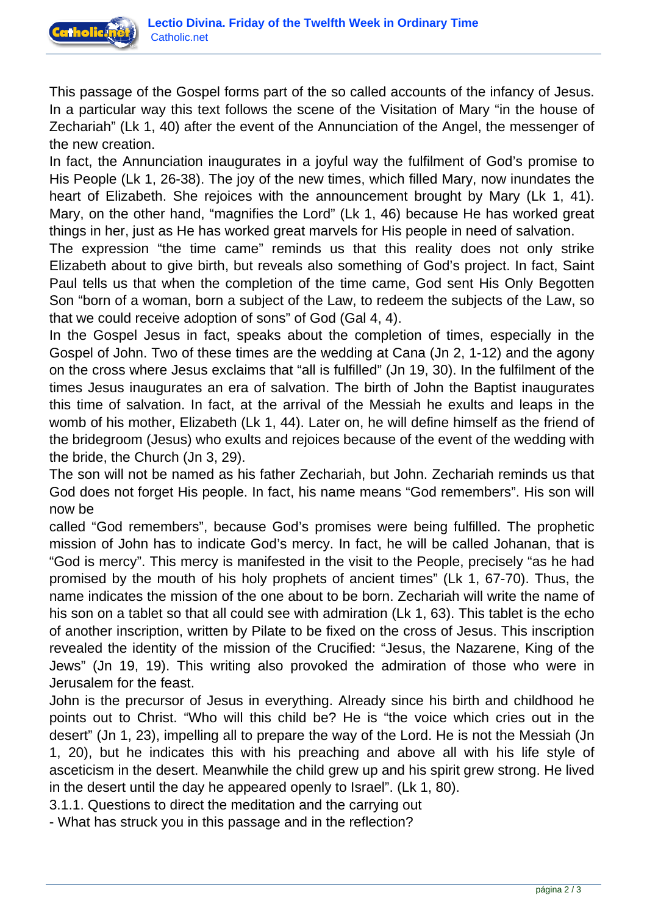

This passage of the Gospel forms part of the so called accounts of the infancy of Jesus. In a particular way this text follows the scene of the Visitation of Mary "in the house of Zechariah" (Lk 1, 40) after the event of the Annunciation of the Angel, the messenger of the new creation.

In fact, the Annunciation inaugurates in a joyful way the fulfilment of God's promise to His People (Lk 1, 26-38). The joy of the new times, which filled Mary, now inundates the heart of Elizabeth. She rejoices with the announcement brought by Mary (Lk 1, 41). Mary, on the other hand, "magnifies the Lord" (Lk 1, 46) because He has worked great things in her, just as He has worked great marvels for His people in need of salvation.

The expression "the time came" reminds us that this reality does not only strike Elizabeth about to give birth, but reveals also something of God's project. In fact, Saint Paul tells us that when the completion of the time came, God sent His Only Begotten Son "born of a woman, born a subject of the Law, to redeem the subjects of the Law, so that we could receive adoption of sons" of God (Gal 4, 4).

In the Gospel Jesus in fact, speaks about the completion of times, especially in the Gospel of John. Two of these times are the wedding at Cana (Jn 2, 1-12) and the agony on the cross where Jesus exclaims that "all is fulfilled" (Jn 19, 30). In the fulfilment of the times Jesus inaugurates an era of salvation. The birth of John the Baptist inaugurates this time of salvation. In fact, at the arrival of the Messiah he exults and leaps in the womb of his mother, Elizabeth (Lk 1, 44). Later on, he will define himself as the friend of the bridegroom (Jesus) who exults and rejoices because of the event of the wedding with the bride, the Church (Jn 3, 29).

The son will not be named as his father Zechariah, but John. Zechariah reminds us that God does not forget His people. In fact, his name means "God remembers". His son will now be

called "God remembers", because God's promises were being fulfilled. The prophetic mission of John has to indicate God's mercy. In fact, he will be called Johanan, that is "God is mercy". This mercy is manifested in the visit to the People, precisely "as he had promised by the mouth of his holy prophets of ancient times" (Lk 1, 67-70). Thus, the name indicates the mission of the one about to be born. Zechariah will write the name of his son on a tablet so that all could see with admiration (Lk 1, 63). This tablet is the echo of another inscription, written by Pilate to be fixed on the cross of Jesus. This inscription revealed the identity of the mission of the Crucified: "Jesus, the Nazarene, King of the Jews" (Jn 19, 19). This writing also provoked the admiration of those who were in Jerusalem for the feast.

John is the precursor of Jesus in everything. Already since his birth and childhood he points out to Christ. "Who will this child be? He is "the voice which cries out in the desert" (Jn 1, 23), impelling all to prepare the way of the Lord. He is not the Messiah (Jn 1, 20), but he indicates this with his preaching and above all with his life style of asceticism in the desert. Meanwhile the child grew up and his spirit grew strong. He lived in the desert until the day he appeared openly to Israel". (Lk 1, 80).

3.1.1. Questions to direct the meditation and the carrying out

- What has struck you in this passage and in the reflection?